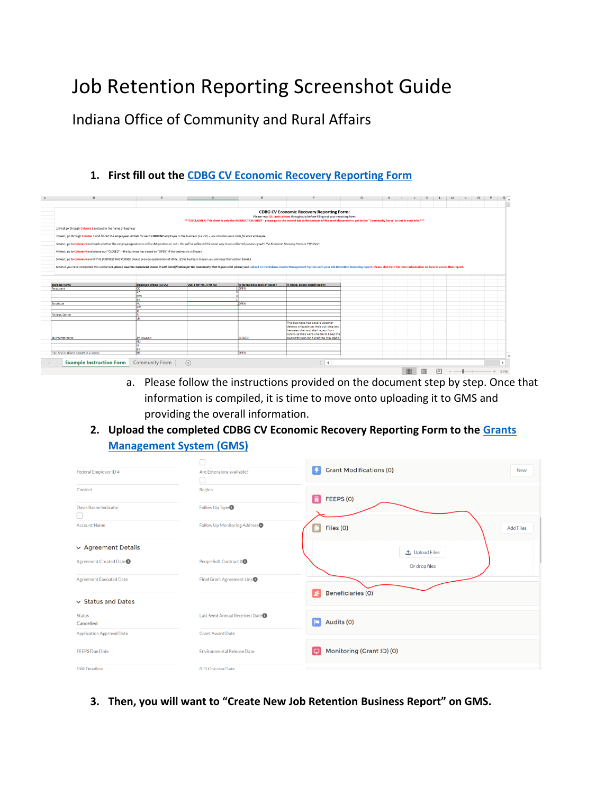## Job Retention Reporting Screenshot Guide

Indiana Office of Community and Rural Affairs

## **1. First fill out the [CDBG CV Economic Recovery Reporting Form](file:///C:/Users/abchapman/Desktop/CDBG%20CV%20Economic%20Recovery%20Reporting%20Form_INSERT%20COMMUNITY%20NAME%20HERE.xlsx)**

| B                                                                                                                                                                                                             | c.                         |                             |                                 |                                                                                                                                                        |  | G | н |  |  |                                                                                                                                                                                   | M | N.                                                                                                                                                                                                                             | $\Box$ |  |
|---------------------------------------------------------------------------------------------------------------------------------------------------------------------------------------------------------------|----------------------------|-----------------------------|---------------------------------|--------------------------------------------------------------------------------------------------------------------------------------------------------|--|---|---|--|--|-----------------------------------------------------------------------------------------------------------------------------------------------------------------------------------|---|--------------------------------------------------------------------------------------------------------------------------------------------------------------------------------------------------------------------------------|--------|--|
|                                                                                                                                                                                                               |                            |                             |                                 | <b>CDBG CV Economic Recovery Reporting Form:</b><br>Please read ALL instructions throughouly before filling out your reporting form                    |  |   |   |  |  | *** DISCLAIMER: This sheet is only the INSTRUCTION SHEET - please go to the second tab at the bottom of the excel document to get to the "Community Form" to put in your info.*** |   |                                                                                                                                                                                                                                |        |  |
| 1) First go through Column 1 and put in the name of business                                                                                                                                                  |                            |                             |                                 |                                                                                                                                                        |  |   |   |  |  |                                                                                                                                                                                   |   |                                                                                                                                                                                                                                |        |  |
| 2) Next, go through Column 2 and fill out the employees intitials for each CURRENT employee in the business (i.e. OC) - you can also use a code for each employee                                             |                            |                             |                                 |                                                                                                                                                        |  |   |   |  |  |                                                                                                                                                                                   |   |                                                                                                                                                                                                                                |        |  |
| 3) Next, go to Column 3 and mark whether the employee/position is still a LMI position or not - this will be collected the same way it was collected previously with the Economic Recovery Form or FTE Sheet. |                            |                             |                                 |                                                                                                                                                        |  |   |   |  |  |                                                                                                                                                                                   |   |                                                                                                                                                                                                                                |        |  |
| 4) Next, go to Column 4 and please put "CLOSED" if the business has closed or "OPEN" if the business is still open                                                                                            |                            |                             |                                 |                                                                                                                                                        |  |   |   |  |  |                                                                                                                                                                                   |   |                                                                                                                                                                                                                                |        |  |
| 5) Next, go to Column 4 and IF THE BUSINESS HAS CLOSED please provide explanation of WHY. (If the business is open you can keep that section blank.)                                                          |                            |                             |                                 |                                                                                                                                                        |  |   |   |  |  |                                                                                                                                                                                   |   |                                                                                                                                                                                                                                |        |  |
|                                                                                                                                                                                                               |                            |                             |                                 |                                                                                                                                                        |  |   |   |  |  |                                                                                                                                                                                   |   | 6) Once you have completed this worksheet, please save the document (name it with identification for the community that it goes with please) and upload to the Indiana Grants Management System with your Job Retention Report |        |  |
|                                                                                                                                                                                                               |                            |                             |                                 |                                                                                                                                                        |  |   |   |  |  |                                                                                                                                                                                   |   |                                                                                                                                                                                                                                |        |  |
|                                                                                                                                                                                                               |                            |                             |                                 |                                                                                                                                                        |  |   |   |  |  |                                                                                                                                                                                   |   |                                                                                                                                                                                                                                |        |  |
| <b>Business Name</b>                                                                                                                                                                                          | Employee initials (i.e OC) | LMI: 1 for YES, 0 for NO    | Is the business open or closed? | If closed, please explain below:                                                                                                                       |  |   |   |  |  |                                                                                                                                                                                   |   |                                                                                                                                                                                                                                |        |  |
| Resturant                                                                                                                                                                                                     | œ                          |                             | OPEN                            |                                                                                                                                                        |  |   |   |  |  |                                                                                                                                                                                   |   |                                                                                                                                                                                                                                |        |  |
|                                                                                                                                                                                                               | AR                         |                             |                                 |                                                                                                                                                        |  |   |   |  |  |                                                                                                                                                                                   |   |                                                                                                                                                                                                                                |        |  |
|                                                                                                                                                                                                               | MW                         |                             |                                 |                                                                                                                                                        |  |   |   |  |  |                                                                                                                                                                                   |   |                                                                                                                                                                                                                                |        |  |
|                                                                                                                                                                                                               | <b>IM</b>                  |                             |                                 |                                                                                                                                                        |  |   |   |  |  |                                                                                                                                                                                   |   |                                                                                                                                                                                                                                |        |  |
| Boutique                                                                                                                                                                                                      | MI                         |                             | OPEN                            |                                                                                                                                                        |  |   |   |  |  |                                                                                                                                                                                   |   |                                                                                                                                                                                                                                |        |  |
|                                                                                                                                                                                                               | KW                         |                             |                                 |                                                                                                                                                        |  |   |   |  |  |                                                                                                                                                                                   |   |                                                                                                                                                                                                                                |        |  |
|                                                                                                                                                                                                               | m                          |                             |                                 |                                                                                                                                                        |  |   |   |  |  |                                                                                                                                                                                   |   |                                                                                                                                                                                                                                |        |  |
| <b>Fitness Center</b>                                                                                                                                                                                         |                            |                             |                                 |                                                                                                                                                        |  |   |   |  |  |                                                                                                                                                                                   |   |                                                                                                                                                                                                                                |        |  |
|                                                                                                                                                                                                               | ш                          |                             |                                 |                                                                                                                                                        |  |   |   |  |  |                                                                                                                                                                                   |   |                                                                                                                                                                                                                                |        |  |
|                                                                                                                                                                                                               |                            |                             |                                 | The business had severe weather<br>destroy a façade on their building and<br>between that and the impact from<br>COVID-19 they were unable to keep the |  |   |   |  |  |                                                                                                                                                                                   |   |                                                                                                                                                                                                                                |        |  |
| Microenterprise                                                                                                                                                                                               | JM (owner)                 |                             | <b>CLOSED</b>                   | business running a profit to stay open.                                                                                                                |  |   |   |  |  |                                                                                                                                                                                   |   |                                                                                                                                                                                                                                |        |  |
|                                                                                                                                                                                                               | NU                         |                             |                                 |                                                                                                                                                        |  |   |   |  |  |                                                                                                                                                                                   |   |                                                                                                                                                                                                                                |        |  |
|                                                                                                                                                                                                               |                            |                             |                                 |                                                                                                                                                        |  |   |   |  |  |                                                                                                                                                                                   |   |                                                                                                                                                                                                                                |        |  |
|                                                                                                                                                                                                               | BN                         |                             |                                 |                                                                                                                                                        |  |   |   |  |  |                                                                                                                                                                                   |   |                                                                                                                                                                                                                                |        |  |
| Hair Stylist (Owns a booth in a salon)                                                                                                                                                                        | <b>NB</b>                  |                             | OPEN                            |                                                                                                                                                        |  |   |   |  |  |                                                                                                                                                                                   |   |                                                                                                                                                                                                                                |        |  |
|                                                                                                                                                                                                               |                            |                             |                                 |                                                                                                                                                        |  |   |   |  |  |                                                                                                                                                                                   |   |                                                                                                                                                                                                                                |        |  |
| <b>Example Instruction Form</b>                                                                                                                                                                               | <b>Community Form</b>      | $\left( \widehat{+}\right)$ |                                 | $\frac{1}{2}$ $\left  \frac{1}{2} \right $                                                                                                             |  |   |   |  |  |                                                                                                                                                                                   |   |                                                                                                                                                                                                                                |        |  |
|                                                                                                                                                                                                               |                            |                             |                                 |                                                                                                                                                        |  |   |   |  |  |                                                                                                                                                                                   |   |                                                                                                                                                                                                                                |        |  |
|                                                                                                                                                                                                               |                            |                             |                                 |                                                                                                                                                        |  |   |   |  |  |                                                                                                                                                                                   | 囲 |                                                                                                                                                                                                                                |        |  |

- a. Please follow the instructions provided on the document step by step. Once that information is compiled, it is time to move onto uploading it to GMS and providing the overall information.
- **2. Upload the completed CDBG CV Economic Recovery Reporting Form to the [Grants](https://indianaegms.force.com/Grants/s/)  [Management System \(GMS\)](https://indianaegms.force.com/Grants/s/)**

| Federal Employer ID#             | Are Extensions available?                 | <b>Grant Modifications (0)</b><br>14 | <b>New</b> |
|----------------------------------|-------------------------------------------|--------------------------------------|------------|
| Contact                          | Region                                    |                                      |            |
| Davis Bacon Indicator            | Follow Up Type <sup>O</sup>               | FEEPS(0)<br>同                        |            |
| <b>Account Name</b>              | Follow Up Monitoring Address <sup>O</sup> | Files (0)<br><b>Add Files</b>        |            |
| $\vee$ Agreement Details         |                                           | ← Upload Files                       |            |
| Agreement Created Date           | PeopleSoft Contract #                     | Or drop files                        |            |
| Agreement Executed Date          | Final Grant Agreement Link <sup>O</sup>   |                                      |            |
| $\vee$ Status and Dates          |                                           | <b>Beneficiaries (0)</b>             |            |
| Status<br>Cancelled              | Last Semi-Annual Received Date O          | Audits (0)<br>lo                     |            |
| <b>Application Approval Date</b> | <b>Grant Award Date</b>                   |                                      |            |
| <b>FEEPS Due Date</b>            | <b>Environmental Release Date</b>         | Monitoring (Grant ID) (0)<br>$\Box$  |            |
| <b>FRR</b> Deadline              | <b>BID Opening Date</b>                   |                                      |            |

**3. Then, you will want to "Create New Job Retention Business Report" on GMS.**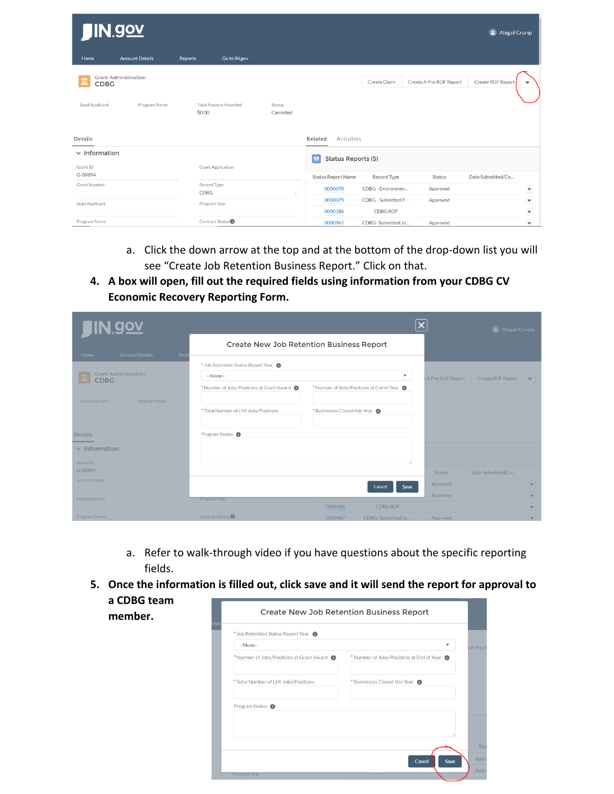| <b>JIN.gov</b>             |                             |                                       |                            |                                     |                               |                         | <b>Abigail Crump</b><br>Θ. |                                                 |
|----------------------------|-----------------------------|---------------------------------------|----------------------------|-------------------------------------|-------------------------------|-------------------------|----------------------------|-------------------------------------------------|
| Home                       | <b>Account Details</b>      | Go to IN.gov<br>Reports               |                            |                                     |                               |                         |                            |                                                 |
| ш<br><b>CDBG</b>           | <b>Grant Administration</b> |                                       |                            |                                     | <b>Create Claim</b>           | Create A Pre-ROF Report | <b>Create ROF Report</b>   | ▼                                               |
| <b>Lead Applicant</b>      | Program Name                | <b>Total Amount Awarded</b><br>\$0.00 | <b>Status</b><br>Cancelled |                                     |                               |                         |                            |                                                 |
| <b>Details</b>             |                             |                                       |                            | <b>Activities</b><br><b>Related</b> |                               |                         |                            |                                                 |
| $\vee$ Information         |                             |                                       |                            | <b>Status Reports (5)</b><br>巨      |                               |                         |                            |                                                 |
| <b>Grant ID</b><br>G-00894 |                             | <b>Grant Application</b>              |                            | Status Report Name                  | Record Type                   | Status                  | Date Submitted/Co          |                                                 |
| <b>Grant Number</b>        |                             | Record Type<br><b>CDBG</b>            | £ž                         | 0000078                             | CDBG - Environmen             | Approved                |                            | ▼                                               |
| <b>Lead Applicant</b>      |                             | Program Year                          |                            | 0000079                             | CDBG - Submitted P            | Approved                |                            | ▼                                               |
| <b>Program Name</b>        |                             | Contract Status <sup>1</sup>          |                            | 0000186<br>0000967                  | CDBG ROF<br>CDBG-Submitted Jo | Approved                |                            | $\blacktriangledown$<br>$\overline{\mathbf{v}}$ |

- a. Click the down arrow at the top and at the bottom of the drop-down list you will see "Create Job Retention Business Report." Click on that.
- **4. A box will open, fill out the required fields using information from your CDBG CV Economic Recovery Reporting Form.**

| <u>IN.gov</u>                              |                                           |                                           |                                               | <b>2</b> Abigail Crump   |
|--------------------------------------------|-------------------------------------------|-------------------------------------------|-----------------------------------------------|--------------------------|
| <b>Account Details</b><br>Repo<br>Home     |                                           | Create New Job Retention Business Report  |                                               |                          |
|                                            | * Job Retention Status Report Year        |                                           |                                               |                          |
| <b>Grant Administration</b><br><b>CDBG</b> | --None--                                  | <b>A Pre-ROF Report</b>                   | Create ROF Report<br>$\overline{\phantom{a}}$ |                          |
|                                            | * Number of Jobs/Positions at Grant Award | * Number of Jobs/Positions at End of Year |                                               |                          |
| Program Name<br>Lead Applicant             |                                           |                                           |                                               |                          |
|                                            | * Total Number of LMI Jobs/Positions      | *Businesses Closed this Year              |                                               |                          |
|                                            |                                           |                                           |                                               |                          |
| <b>Details</b>                             | Program Notes <sup>1</sup>                |                                           |                                               |                          |
| $\vee$ Information                         |                                           |                                           |                                               |                          |
| Grant ID                                   |                                           |                                           |                                               |                          |
| G-00894                                    |                                           |                                           | <b>Status</b>                                 | Date Submitted/Co        |
| <b>Grant Number</b>                        |                                           | Cancel<br>Save                            | Approved                                      | $\overline{\mathbf{v}}$  |
| Lead Applicant                             | Program Year                              |                                           | Approved                                      | $\overline{\mathbf{v}}$  |
|                                            |                                           | 0000186<br><b>CDBG ROF</b>                |                                               | $\overline{\mathbf{v}}$  |
| Program Name                               | Contract Status <sup>O</sup>              | 0000967<br>CDBG-Submitted Jo              | Approved                                      | $\overline{\phantom{a}}$ |

- a. Refer to walk-through video if you have questions about the specific reporting fields.
- **5. Once the information is filled out, click save and it will send the report for approval to a CDBG team**

| a cubu team<br>member. |                                             | Create New Job Retention Business Report  |                |
|------------------------|---------------------------------------------|-------------------------------------------|----------------|
|                        | * Job Retention Status Report Year <b>6</b> |                                           |                |
|                        | --None--                                    | $\overline{\mathbf{v}}$                   | A Pr           |
|                        | * Number of Jobs/Positions at Grant Award   | * Number of Jobs/Positions at End of Year |                |
|                        | * Total Number of LMI Jobs/Positions        | *Businesses Closed this Year <sup>6</sup> |                |
|                        | Program Notes <sup>O</sup>                  |                                           |                |
|                        |                                             |                                           |                |
|                        |                                             |                                           | ś              |
|                        |                                             | Cancel<br>Save                            | A <sub>i</sub> |
|                        | Program Year                                |                                           | A <sub>I</sub> |